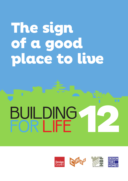## **The sign of a good place to live**

# **12 BUILDING**<br>FOR LIFE

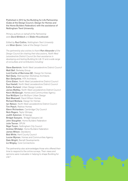Published in 2012 by the Building for Life Partnership (Cabe at the Design Council, Design for Homes and the Home Builders Federation) with the assistance of Nottingham Trent University.

*Primary authors on behalf of the Partnership were David Birkbeck and Stefan Kruczkowski.*

*Edited by Paul Collins, Nottingham Trent University and Brian Quinn, Cabe at the Design Council*

*The partnership also wishes to thank Pam Alexander of the Design Council for chairing their discussions, North West Leicestershire District Council for their assistance in developing and testing Building for Life 12 and a wide range of consultees and contributors including:*

Steve Bambrick, North West Leicestershire District Council Matt Bell, Berkeley Group Lord Carlile of Berriview QC, Design for Homes Neil Deely, Metropolitan Workshop Architects Ben Derbyshire, HTA Architects Chris Elston, North West Leicestershire District Council Sue Haslett, North West Leicestershire District Council Esther Kurland, Urban Design London James Mattley, North West Leicestershire District Council Kevin McGeough, Homes and Communities Agency Sue McGlynn Sue McGlynn Urban Design Bob Meanwell, David WIlson Homes Richard Mullane, Design for Homes Ian Nelson, North West Leicestershire District Council Tim Peach, Redrow Homes Glenn Richardson, Cambridge City Council Nick Rogers, Taylor Wimpey Judith Salomon, St George Bridget Sawyers, Bridget Sawyers Ltd John Slaughter, Home Builders Federation Julie Tanner, OPUN Nigel Turpin, Nottingham City Council Andrew Whitaker, Home Builders Federation James Wilson, Davidsons Bob White, Kent County Council Louise Wyman, Homes and Communities Agency Dale Wright, Barratt Developments Liz Wrigley, Core Connections

The partnership also acknowledges those who offered their time to respond to the online surveys. Their views and opinions were invaluable in helping to shape Building for Life<sup>12</sup>.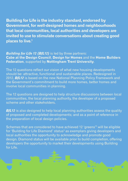**Building for Life is the industry standard, endorsed by Government, for well-designed homes and neighbourhoods that local communities, local authorities and developers are invited to use to stimulate conversations about creating good places to live. 1**

*Building for Life 12 (BfL12)* is led by three partners: **Cabe at the Design Council**, **Design for Homes** and the **Home Builders Federation**, supported by **Nottingham Trent University**.

The 12 questions reflect our vision of what new housing developments should be: attractive, functional and sustainable places. Redesigned in 2012, *BfL12* is based on the new National Planning Policy Framework and the Government's commitment to build more homes, better homes and involve local communities in planning.

The 12 questions are designed to help structure discussions between local communities, the local planning authority, the developer of a proposed scheme and other stakeholders.

**BfL12** is also designed to help local planning authorities assess the quality of proposed and completed developments; and as a point of reference in the preparation of local design policies.

Schemes that are considered to have achieved 12 'greens' <sup>2</sup> will be eligible for 'Building for Life Diamond' status<sup>3</sup> as exemplars giving developers and local authorities the opportunity to acknowledge and promote good design. Diamond status will be available prior to build completion, offering developers the opportunity to market their developments using Building for Life.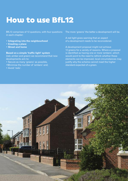## **How to use BfL12**

BfL12 comprises of 12 questions, with four questions in each chapter:

- **• Integrating into the neighbourhood**
- **• Creating a place**
- **• Street and home**

**Based on a simple 'traffic light' system** (red, amber and green) we recommend that new developments aim to:

- Secure as many 'greens' as possible,
- •Minimise the number of 'ambers' and;
- Avoid 'reds'.

The more 'greens' the better a development will be.

A red light gives warning that an aspect of a development needs to be reconsidered.

A development proposal might not achieve 12 greens for a variety of reasons. Where a proposal is identified as having one or more 'ambers', which would point to the need to rethink whether these elements can be improved, local circumstances may justify why the scheme cannot meet the higher standard expected of a green.

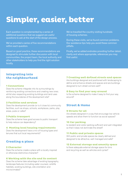## **Simpler, easier, better**

Each question is complemented by a series of additional questions that we suggest are useful questions to ask at the start of the design process.

We've provided a series of five recommendations within each question.

Based on good practice, these recommendations are designed to stimulate further discussion with local communities, the project team, the local authority and other stakeholders to help you find the right solution locally.

We've travelled the country visiting hundreds of housing schemes.

During these visits, we've found common problems. Our avoidance tips help you avoid these common pitfalls.

Finally, we've added endnotes providing further detail, clarity and where appropriate, references you may find useful.

#### **Integrating into the neighbourhood**

#### **1 Connections**

Does the scheme integrate into its surroundings by reinforcing existing connections and creating new ones; whilst also respecting existing buildings and land uses along the boundaries of the development site?

#### **2 Facilities and services**

Does the development provide (or is it close to) community facilities, such as shops, schools, workplaces, parks, play areas, pubs or cafes?

#### **3 Public transport**

Does the scheme have good access to public transport to help reduce car dependency?

#### **4 Meeting local housing requirements**

Does the development have a mix of housing types and tenures that suit local requirements?

#### **Creating a place**

#### **5 Character**

Does the scheme create a place with a locally inspired or otherwise distinctive character?

#### **6 Working with the site and its context**

Does the scheme take advantage of existing topography, landscape features (including water courses), wildlife habitats, existing buildings, site orientation and microclimates?

#### **7 Creating well defined streets and spaces**

Are buildings designed and positioned with landscaping to define and enhance streets and spaces and are buildings designed to turn street corners well?

#### **8 Easy to find your way around**

Is the scheme designed to make it easy to find your way around?

#### **Street & Home**

#### **9 Streets for all**

Are streets designed in a way that encourage low vehicle speeds and allow them to function as social spaces?

#### **10 Car parking**

Is resident and visitor parking sufficient and well integrated so that it does not dominate the street?

#### **11 Public and private spaces**

Will public and private spaces be clearly defined and designed to be attractive, well managed and safe?

#### **12 External storage and amenity space**

Is there adequate external storage space for bins and recycling as well as vehicles and cycles?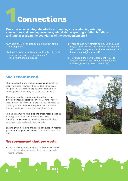## **1Connections**

**Does the scheme integrate into its surroundings by reinforcing existing connections and creating new ones; whilst also respecting existing buildings and land uses along the boundaries of the development site?**

- **1a** Where should vehicles come in and out of the development?
- **1b** Should there be pedestrian and cycle only routes into and through the development? If so where should they go?
- **1c** Where should new streets be placed and could they be used to cross the development site and help create linkages across the scheme and into the existing neighbourhood?
- 1d How should the new development relate to existing development? What should happen at the edges of the development site?

#### **We recommend**

Thinking about where connections can and should be made; and about how best the new development can integrate into the existing neighbourhood rather than creating an inward looking cul-de-sac development.

Remembering that people who live within a new development and people who live nearby may want to walk through the development to get somewhere else, so carefully consider how a development can contribute towards creating a more walkable neighbourhood.

Thinking carefully before blocking or redirecting existing routes, particularly where these are well used. Creating connections that are attractive, well lit, direct, easy to navigate, well overlooked and safe.

Ensuring that all streets and pedestrian/cycle only routes pass in front of people's homes, rather than to the rear of them.

#### **We recommend that you avoid**

● Not considering how the layout of a development could be designed to improve connectivity across the wider

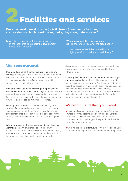## **Facilities and services 2**

**Does the development provide (or is it close to) community facilities, such as shops, schools, workplaces, parks, play areas, pubs or cafes?**

**2a** Are there enough facilities and services in the local area to support the development? If not, what is needed?

**Where new facilities are proposed: 2b** Are these facilities what the area needs?

**2c** Are these new facilities located in the right place? If not, where should they go?

#### **We recommend**

Planning development so that everyday facilities and services are located within a short walk of people's homes. The layout of a development and the quality of connections it provides can make a significant impact on walking distances and people's travel choices.

Providing access to facilities through the provision of safe, convenient and direct paths or cycle routes. Consider whether there are any barriers to pedestrian/cycle access (for example, busy roads with a lack of crossing points) and how these barriers can be removed or lessened.

Locating new facilities (if provided) where the greatest number of existing and new residents can access them easily, recognising that this may be at the edge of a new development or on a through route; but consider whether existing facilities can be enhanced before proposing new ones.

Where new local centres are provided, design these as vibrant places with smaller shops combined with residential accommodation above rather than for example, a single storey, single use supermarket building. Work to integrate these facilities into the fabric of the wider

development to avoid creating an isolated retail park type environment dominated by car parking and highways infrastructure.

Creating new places within a development where people can meet each other such as public spaces, community buildings, cafes and restaurants. Aim to get these delivered as early as possible. Think carefully about how spaces could be used and design them with flexibility in mind, considering where more active (and noisier) spaces should be located so as to avoid creating potential for conflict between users and adjacent residents.

- Locating play areas directly in front of people's homes where they may become a source of tension. Carefully consider the distance between play equipment and homes in addition to the type of play equipment selected and the target age group.
- Creating the potential for future conflict if residential uses and commercial premises are not combined thoughtfully.

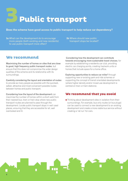

#### **Does the scheme have good access to public transport to help reduce car dependency?**

**3a** What can the development do to encourage more people (both existing and new residents) to use public transport more often?

**3b** Where should new public transport stops be located?

#### **We recommend**

Maximising the number of homes on sites that are close to good, high frequency public transport routes, but ensure that this does not compromise the wider design qualities of the scheme and its relationship with its surroundings.

Carefully considering the layout and orientation of routes to provide as many people as possible with the quickest, safest, attractive and most convenient possible routes between homes and public transport.

Considering how the layout of the development can maximise the number of homes within a short walk from their nearest bus, tram or train stop where new public transport routes are planned to pass through the development. Locate public transport stops in well used places, ensuring that they are accessible for all, well overlooked and lit.

Considering how the development can contribute towards encouraging more sustainable travel choices, for example by establishing a residents car club, providing electric car charging points, creating live/work units or homes that include space for a home office.

Exploring opportunities to reduce car miles<sup>5</sup> through supporting new or existing park and ride schemes or supporting the concept of transit orientated developments (where higher density and/or mixed use development is centred on train or tram stations).

#### **We recommend that you avoid**

● Thinking about development sites in isolation from their surroundings. For example, bus only routes (or bus plugs) can be used to connect a new development to an existing development and create a more viable bus service without creating a 'rat run' for cars.

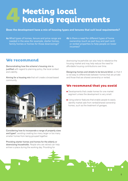### **Meeting local housing requirements 4**

#### **Does the development have a mix of housing types and tenures that suit local requirements?**

**4a** What types of homes, tenure and price range are needed in the area (for example, starter homes, family homes or homes for those downsizing)?

**4b** Is there a need for different types of home ownership (such as part buy and part rent) or rented properties to help people on lower incomes?

#### **We recommend**

Demonstrating how the scheme's housing mix is justified with regard to planning policy, the local context and viability.

Aiming for a housing mix that will create a broad-based community.



Considering how to incorporate a range of property sizes and types<sup>6</sup>, avoiding creating too many larger or too many smaller homes from being grouped together.

Providing starter homes and homes for the elderly or downsizing households. People who are retired can help enliven a place during the working day. Providing for

downsizing households can also help to rebalance the housing market and may help reduce the need for affordable housing contributions over time.

Designing homes and streets to be tenure-blind, so that it is not easy to differentiate between homes that are private and those that are shared ownership or rented.

- Developments that create homes for one market segment unless the development is very small.
- Using exterior features that enable people to easily identify market sale from rented/shared ownership homes, such as the treatment of garages.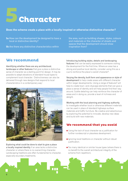

#### **Does the scheme create a place with a locally inspired or otherwise distinctive character?**

**5a** How can the development be designed to have a local or distinctive identity?

**5b** Are there any distinctive characteristics within

the area, such as building shapes, styles, colours and materials or the character of streets and spaces that the development should draw inspiration from?

#### **We recommend**

Identifying whether there are any architectural, landscape or other features that give a place a distinctive sense of character as a starting point for design. It may be possible to adapt elevations of standard house types to complement local character. Distinctiveness can also be delivered through new designs that respond to local characteristics in a contemporary way<sup>7</sup>.



Exploring what could be done to start to give a place a locally inspired identity if an area lacks a distinctive character or where there is no overarching character. Landscaping traditions are often fundamental to character, especially boundary treatments.

Introducing building styles, details and landscaping features that can be easily expressed to someone visiting the development for the first time. Where an area has a strong and positive local identity, consider using this as a cue to reinforce the place's overall character<sup>8</sup>.

Varying the density, built form and appearance or style of development to help create areas with different character within larger developments. Using a range of features<sup>9</sup> will help to create town- and cityscape elements that can give a place a sense of identity and will help people find their way around. Subtle detailing can help reinforce the character of areas and in doing so, provide a level of richness and delight.

#### Working with the local planning and highway authority

to investigate whether local or otherwise different materials can be used in place of standard highways surface materials and traffic furniture. Be creative and adventurous by exploring the potential to innovate, develop new ideas and build with new materials.

- Using the lack of local character as a justification for further nondescript or placeless development.
- Ignoring local traditions or character without robust justification.
- Too many identical or similar house types (where there is no benefit to the overall architectural integrity of the scheme from repetition).

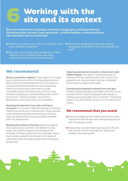### **Working with the site and its context 6**

**Does the scheme take advantage of existing topography, landscape features (including water courses), trees and plants , wildlife habitats, existing buildings, site orientation and microclimate?**

- **6a** Are there any views into or from the site that need to be carefully considered?
- **6b** Are there any existing trees, hedgerows or other features, such as streams that need to be carefully designed into the development?
- **6c** Should the development keep any existing building(s) on the site? If so, how could they be used?

#### **We recommend**

Being a considerate neighbour. Have regard to the height, layout, building line and form of existing development at the boundaries of the development site. Frame views of existing landmarks and create new ones by exploiting features such as existing mature trees to create memorable spaces. Orientate homes so that as many residents as possible can see these features from within their homes10 . Carefully consider views into the development and how best these can be designed.

#### Assessing the potential of any older buildings or

structures for conversion. Retained buildings can become instant focal points within a development. Where possible, avoid transporting building waste and spoil off site by exploring opportunities to recycling building materials within the development<sup>11</sup>.

Working with contours of the land rather than against them, exploring how built form and detailed housing design can creatively respond to the topographical character; thinking carefully about the roofscape. Explore how a holistic approach can be taken to the design of sustainable urban drainage by exploiting the topography and geology $12$ .

Exploring opportunities to protect, enhance and create wildlife habitats. Be creative in landscape design by creating wildflower meadows rather than closely mown grassland and, where provided, creating rich habitats within balancing lagoons and swales.

Considering the potential to benefit from solar gain through building orientation and design where this can be achieved without compromising good urban design or creating issues associated with over heating<sup>13</sup>. Finally have regard to any particularities of local micro-climates and its impact.

- Leaving an assessment of whether there are any views into and from the site that merit a design response until late in the design process.
- Transporting uncontaminated spoil away from the site that could be used for landscaping or adding level changes where appropriate.

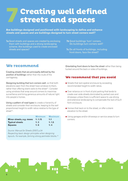### **Creating well defined streets and spaces 7**

**Are buildings designed and positioned with landscaping to define and enhance streets and spaces and are buildings designed to turn street corners well?**

- **7a** Good streets and spaces are created by enclosing them with buildings and a strong landscaping scheme. Are buildings used to create enclosed streets and spaces?
- **7b** Good buildings 'turn' corners. Do buildings turn corners well?
- **7c** Do all fronts of buildings, including front doors, face the street?

#### **We recommend**

Creating streets that are principally defined by the position of buildings rather than the route of the carriageway.

Designing building that turn corners well, so that both elevations seen from the street have windows to them, rather than offering blank walls to the street<sup>14</sup>. Consider using windows that wrap around corners to maximise surveillance and bring generous amounts of natural light into people's homes.

Using a pattern of road types to create a hierarchy of streets and consider their enclosure, keeping to the well proportioned height to width ratios relative to the type of street 15 .

|                          | <b>Minimum</b> | <b>Maximum</b> |
|--------------------------|----------------|----------------|
| Minor streets, e.g. mews | 1:1.15         | 1:1            |
| <b>Typical streets</b>   | 1:3            | 1:1.5          |
| <b>Squares</b>           | 1:6            | 1:4            |

*Source: Manual for Streets (2007) p.54 Respecting basic design principles when designing layouts. For example, forming strong perimeter blocks. 16* Orientating front doors to face the street rather than being tucked around the back or sides of buildings.

- Streets that lack spatial enclosure by exceeding recommended height to width ratios.
- Over reliance on in front of plot parking that tends to create over wide streets dominated by parked cars and driveways unless there is sufficient space to use strong and extensive landscaping to compensate the lack of built form enclosure.
- Homes that back on to the street, or offer a blank elevation to the street.
- Using garages and/or driveways or service areas to turn corners.

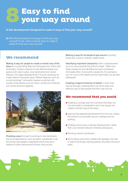

#### **Is the development designed to make it easy to find your way around?**

**8a** Will the development be easy to find your way around? If not, what could be done to make it easier to find your way around?

#### **We recommend**

Making it easy for people to create a mental map of the place by incorporating features that people will notice and remember. Create a network of well defined streets and spaces with clear routes, local landmarks and marker features. For larger developments it may be necessary to create distinct character areas. Marker features, such as corner buildings<sup>17</sup> and public spaces combined with smaller scale details such as colour, variety and materials will further enhance legibility.



Providing views through to existing or new landmarks and local destinations, such as parks, woodlands or tall structures help people understand where they are in relation to other places and find their way around.

Making it easy for all people to get around including those with visual or mobility impairments.

Identifying important viewpoints within a development, such as views towards the end of a street. Make sure these viewpoints are identified and well considered. Anticipate other, more subtle viewpoints, for example a turn or curve in the street and how best these can be best addressed.

Creating a logical hierarchy of streets. A tree lined avenue through a development can be an easy and effective way to help people find their way around.

- Creating a concept plan for a scheme that does not include careful consideration as to how people will create a mental map of the place.
- Layouts that separate development from the car, unless the scheme incorporates secure underground car parking.
- Creating overly long cul-de-sac developments, rather than a connected network of streets and spaces.
- Blocking views to landmarks.
- Terminating views down streets with garages, the rear or side of buildings, parking spaces, boundary fences or walls.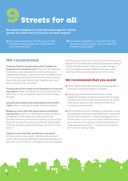

**Are streets designed in a way that encourage low vehicle speeds and allow them to function as social spaces?**

**9a** Are streets pedestrian friendly and are they designed to encourage cars to drive slower and more carefully?

**9b** Are streets designed in a way that they can be used as social spaces, such as places for children to play safely?

#### **We recommend**

Creating streets for people where vehicle speeds are designed not to exceed 20 mph<sup>18</sup> Work with the Highways Authority to create developments where buildings and detailed street design is used to tame vehicle speeds. Sharp or blind corners force drivers to slow when driving around them while buildings that are closer together also make drivers proceed more cautiously<sup>19</sup>.

Thinking about how streets can be designed as social and play spaces, where the pedestrians and cyclists come first, rather than simply as routes for cars and vehicles to pass through<sup>20</sup>.

Using the best quality hard landscaping scheme that is viable without cluttering the streets and public spaces.

Designing homes that offer good natural surveillance opportunities; carefully considering the impact of internal arrangement on the safety and vitality of the street<sup>21</sup>. Consider maximising the amount of glazing to ground floor, street facing rooms to enhance surveillance opportunities creating a stronger relationship between the home and the street . 22

Creating homes that offer something to the street<sup>23</sup>, thinking carefully about detail, craftsmanship and build quality. Afford particular attention to the space between the pavement and front doors<sup>24</sup>. A thoughtful and well designed

entrance area and front door scheme will enhance the kerb appeal of homes whilst also contributing towards creating a visually interesting street. Carefully consider changes in level, the interface between different materials, quality finishing and the discreet placement of utility boxes.

- 20mph speed limits enforced with excessive signage or expensive compliance systems or features.
- Designing a scheme that allows drivers to cross pedestrian footpaths at speed to access their driveways. Consider how hard and soft landscaping can be used to make drivers approach their street and home more cautiously and responsibly.
- Minimise steps and level changes to make them as easy as possible for pushchairs and wheelchairs. A pavement that has lots of variation in levels and dropped kerbs to enable cars to cross it can encourage unofficial parking up on the kerb and may make movement less easy for those pushing a pushchair, in a wheelchair or walking with a stick or walking frame.

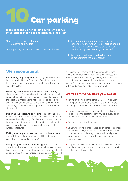

**Is resident and visitor parking sufficient and well integrated so that it does not dominate the street?**

**10a** Is there enough parking for residents and visitors?

**10b** Is parking positioned close to people's homes?

**10c** Are any parking courtyards small in size (generally no more than five properties should use a parking courtyard) and are they well overlooked by neighbouring properties?

**10d** Are garages well positioned so that they do not dominate the street scene?

#### **We recommend**

Anticipating car parking demand taking into account the location, availability and frequency of public transport together with local car ownership trends. Provide parking space for visitors.

Designing streets to accommodate on street parking but allow for plenty of trees and planting to balance the visual impact of parked cars and reinforce the spatial enclosure of the street. On street parking has the potential to be both space efficient and can also help to create a vibrant street, where neighbours have more opportunity to see and meet other people.

Designing out opportunities for anti-social parking. Very regular and formal parking treatments have the potential to reduce anti-social parking. People are less prone to parking in places where they should not be parking and where street design clearly defines other uses, such as pavements or landscape features.

Making sure people can see their car from their home or can park it somewhere they know it will be safe. Where possible avoid rear parking courts<sup>25</sup>.

Using a range of parking solutions appropriate to the context and the types of housing proposed. Where parking is positioned to the front of the property, ensure that at least an equal amount of the frontage is allocated to an enclosed, landscaped front garden as it is for parking to reduce vehicle domination. Where rows of narrow terraces are proposed, consider positioning parking within the street scene, for example a central reservation of herringbone parking26 . For higher density schemes, underground parking with a landscaped deck above can work well.

- Relying on a single parking treatment. A combination of car parking treatments nearly always creates more capacity, visual interest and a more successful place.
- Large rear parking courts. When parking courts are less private, they offer greater opportunity for thieves, vandals and those who should not be parking there.
- Parking that is not well overlooked
- Using white lining to mark out and number spaces. These are not only costly, but unsightly. It can be cheaper and more aesthetically pleasing to use small metal plates to number spaces, and a few well placed block markers to define spaces.
- Not providing a clear and direct route between front doors and the street by not balancing the amount of parking in front of plots with soft relief.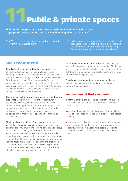# **11Public & private spaces**

**Will public and private spaces be clearly defined and designed to have appropriate access and be able to be well managed and safe in use?**

**11a** What types of open space should be provided within this development?

**11b** Is there a need for play facilities for children and teenagers? If so, is this the right place or should the developer contribute towards an existing facility in the area that could be made better?

#### **We recommend**

Clearly defining private and public spaces with clear vertical markers, such as railings, walling or robust planting. Where there is a modest building set back (less than 1m), a simple change in surface materials may suffice. Select species that will form a strong and effective boundary, such as hedge forming shrubs rather than low growing specimens or exotic or ornamental plants. Ensure sufficient budget provision is allocated to ensure a high quality boundary scheme is delivered.

Creating spaces that are well overlooked by neighbouring properties. Check that there is plenty of opportunity for residents to see streets and spaces from within their homes. Provide opportunities for direct and oblique views up and down the street, considering the use of bay, oriel and corner windows where appropriate. Designing balconies can further increase opportunities for natural surveillance.

Thinking about what types of spaces are created and where they should be located. Consider how spaces can be designed to be multi-functional, serving as wide an age group as possible and how they could contribute towards enhancing biodiversity<sup>27</sup>. Where open spaces are provided, think about where people might want to walk and what routes they might want to take and plan paths accordingly providing lighting if required. Consider the sun path and shadowing throughout the day and which areas will be in light rather than shade. Areas more likely to benefit from sunshine are often the most popular places for people to gather.

Exploring whether local communities would wish to see new facilities created or existing ones upgraded. Think how play can be approached in a holistic manner, for example by distributing play equipment or playable spaces and features across an entire open space.

Providing a management and maintenance plan to include a sustainable way to fund public or shared communal open spaces.

- Informal or left over grassed areas that offer no public or private use or value and do little or nothing to support biodiversity.
- Avoid creating small fenced play areas set within a larger area of open space where the main expense is the cost of fencing.
- Landscaping that is cheap, of poor quality, poorly located and inappropriate for its location. Low growing shrubs rarely survive well in places where people are likely to accidentally walk over them, such as besides parking bays.

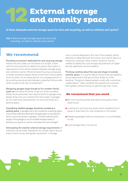## **12 External storage and amenity space**

**Is there adequate external storage space for bins and recycling, as well as vehicles and cycles?**

**12a** Is there enough storage space for bins and recycling, as well as vehicles and cycles?

#### **We recommend**

Providing convenient, dedicated bin and recycling storage where bins and crates can be stored out of sight. Check with the local authority to determine exactly what space is required and minimize the distance between storage areas and collection points. Where terraced housing is proposed, consider providing integral stores to the front of the property (such as within an enclosed section of a recessed porch) or by providing secure ginnels between properties that provide direct access to the rear of properties<sup>28</sup>.

Designing garages large enough to fit a modern family sized car and allow the driver to get out of the car easily. Where local authorities have requirements for garage sizes, design these into your scheme from the outset. If garages do not meet local requirements, do not count these as a parking space.

Considering whether garages should be counted as a parking space. If garages are to be counted as a parking space, ensure that sufficient alternative storage space is provided for items commonly stored in garages. Consider extending the length of the garage to accommodate storage needs or allowing occupants to use the roof space for extra storage<sup>29</sup>.

Anticipating the realistic external storage requirements of individual house holds. Residents will usually need a secure place to store cycles and garden equipment. A storage

room could be designed to the rear of the property (either attached or detached from the home), reviving the idea of a traditional outhouse. More creative solutions may be needed to satisfy the cycle storage requirements of higher density, apartment accommodation.

Thinking carefully about the size and shape of outside amenity space. It is a good idea to ensure that rear gardens are at least equal to the ground floor footprint of the dwelling. Triangular shaped gardens rarely offer a practical, usable space<sup>30</sup>. Allow residents the opportunity to access their garden without having to walk through their home.

- Bin and recycling stores that reduce the quality of the street scene.
- Locating bin and recycling stores where residents find it easier to leave their bin and containers on the street.
- Designing garages that are impractical or uncomfortable to use.
- Cycle storage that is not secure.